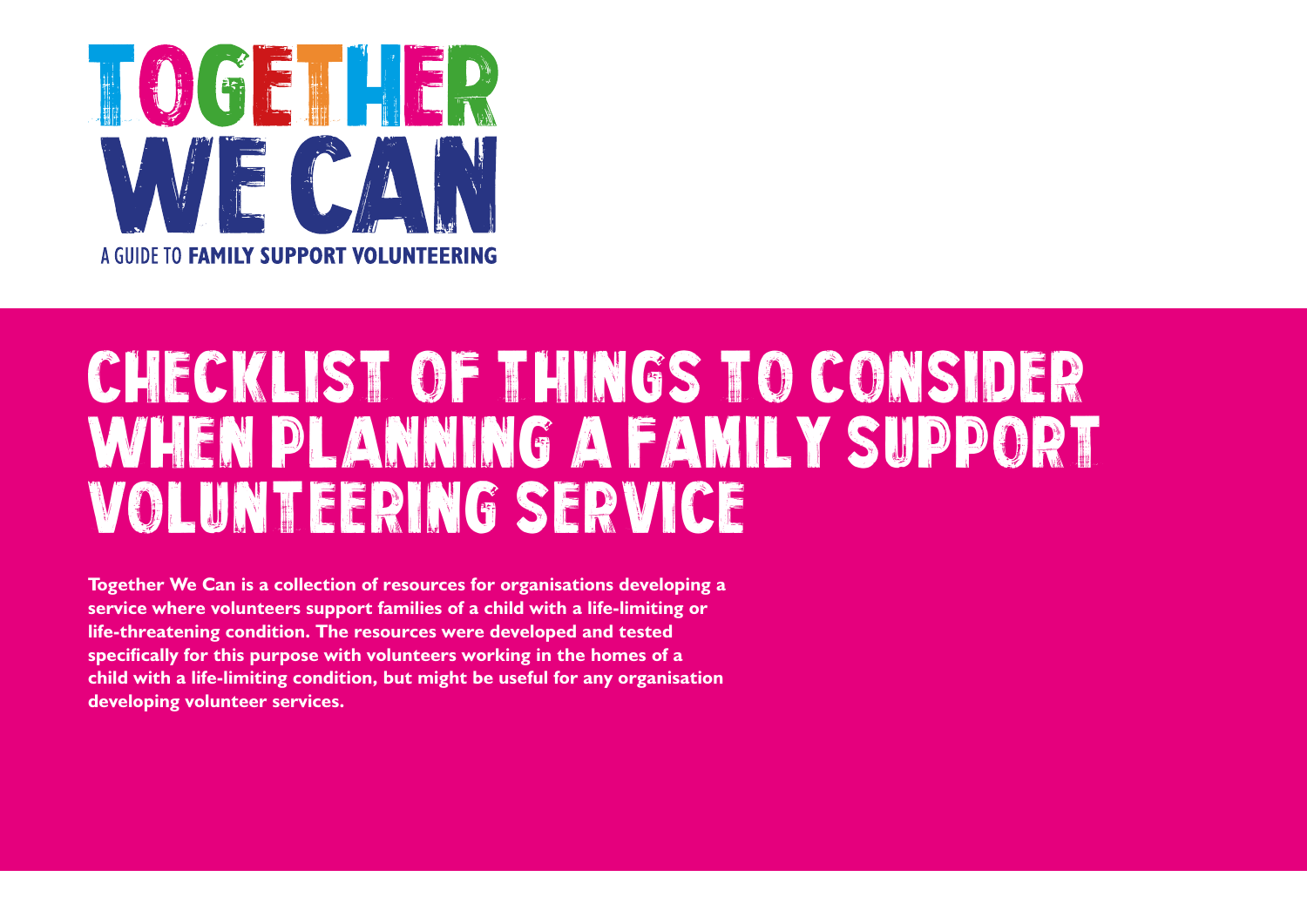

## CHECKLIST OF THINGS TO CONSIDER when planning a family support volunteering service

**Together We Can is a collection of resources for organisations developing a service where volunteers support families of a child with a life-limiting or life-threatening condition. The resources were developed and tested specifically for this purpose with volunteers working in the homes of a child with a life-limiting condition, but might be useful for any organisation developing volunteer services.**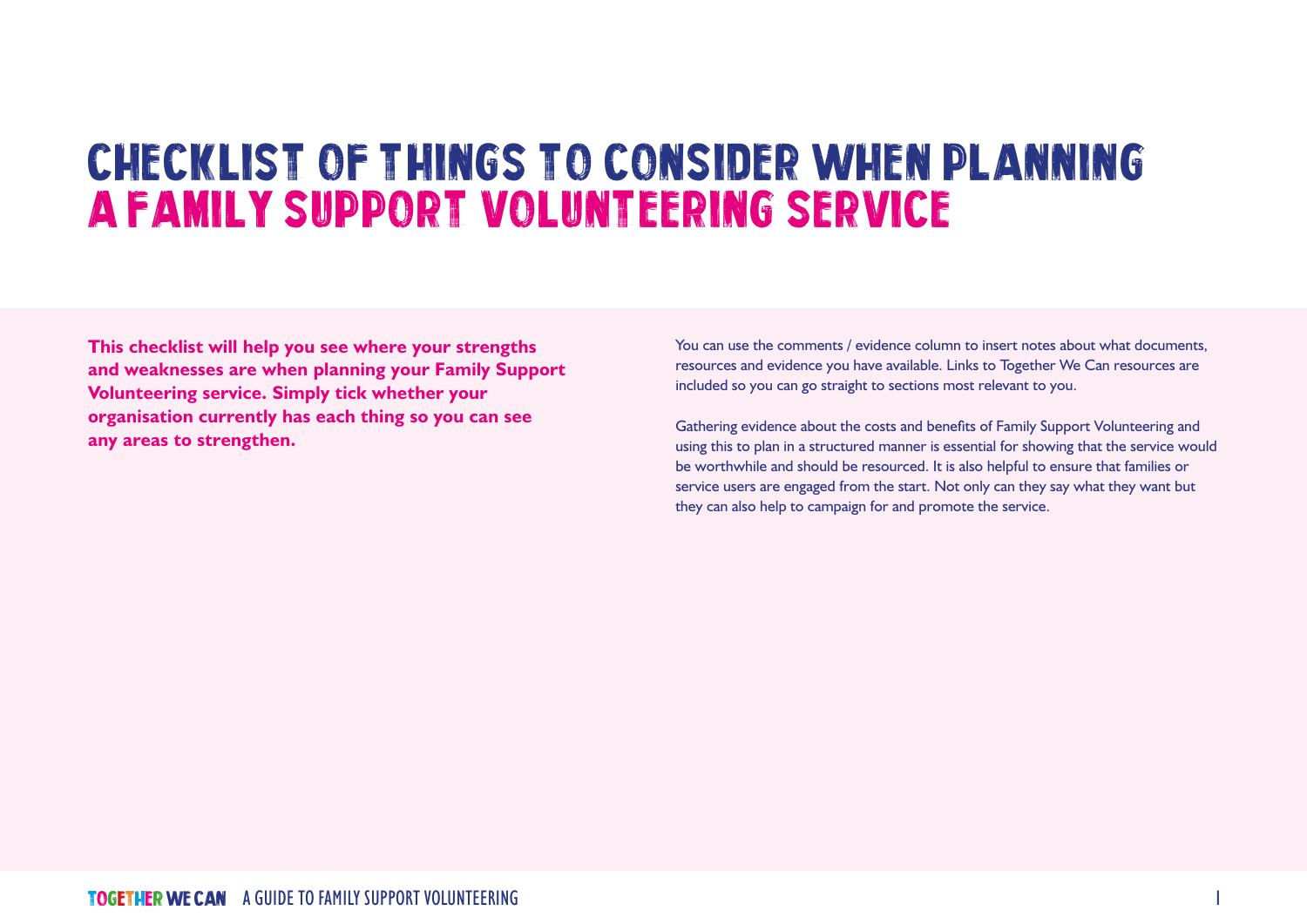## Checklist of things to consider when planning a family support volunteering service

**This checklist will help you see where your strengths and weaknesses are when planning your Family Support Volunteering service. Simply tick whether your organisation currently has each thing so you can see any areas to strengthen.** 

You can use the comments / evidence column to insert notes about what documents, resources and evidence you have available. Links to Together We Can resources are included so you can go straight to sections most relevant to you.

Gathering evidence about the costs and benefits of Family Support Volunteering and using this to plan in a structured manner is essential for showing that the service would be worthwhile and should be resourced. It is also helpful to ensure that families or service users are engaged from the start. Not only can they say what they want but they can also help to campaign for and promote the service.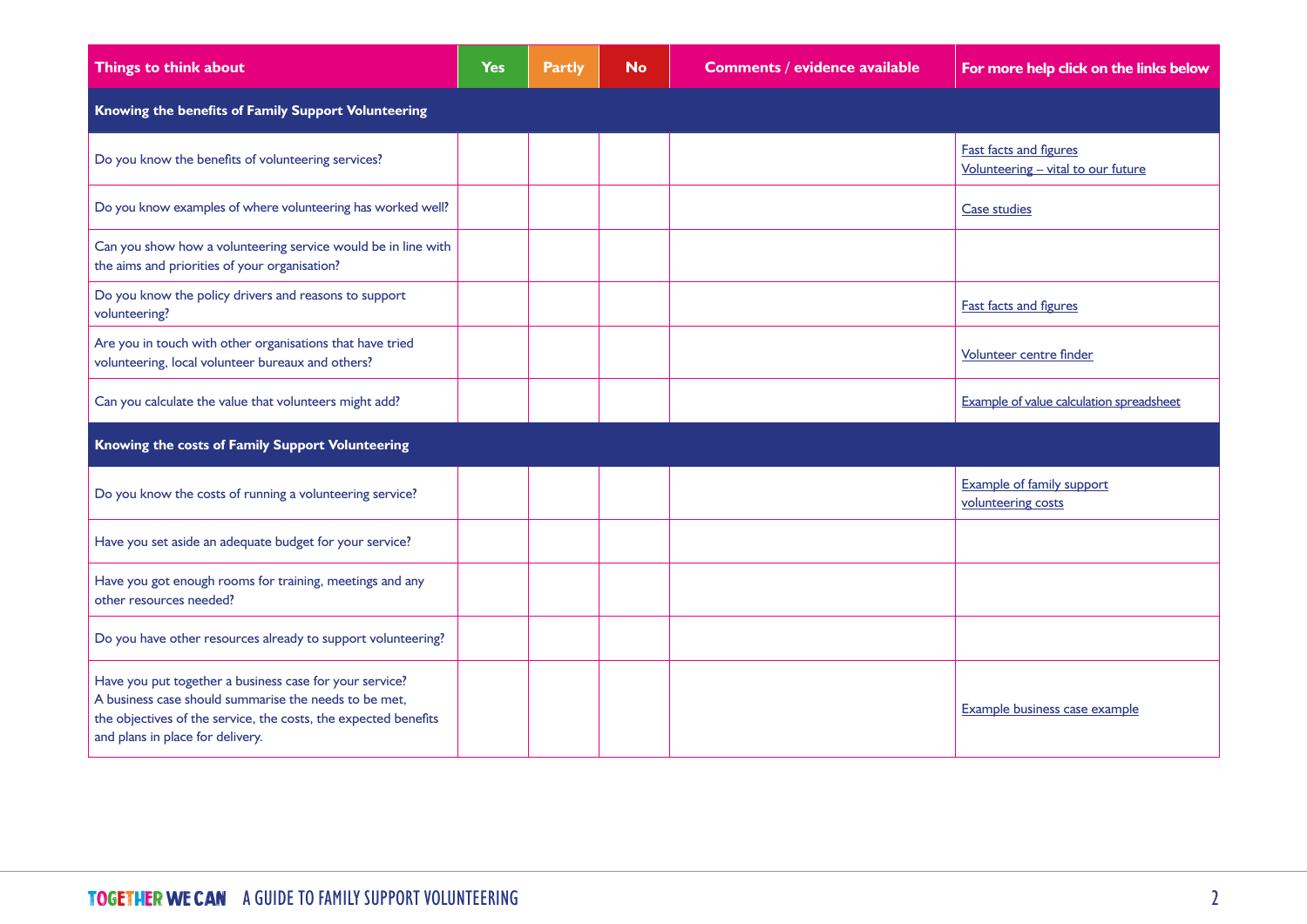| Things to think about                                                                                                                                                                                                   | <b>Yes</b> | <b>Partly</b> | <b>No</b> | <b>Comments / evidence available</b> | For more help click on the links below                              |  |
|-------------------------------------------------------------------------------------------------------------------------------------------------------------------------------------------------------------------------|------------|---------------|-----------|--------------------------------------|---------------------------------------------------------------------|--|
| Knowing the benefits of Family Support Volunteering                                                                                                                                                                     |            |               |           |                                      |                                                                     |  |
| Do you know the benefits of volunteering services?                                                                                                                                                                      |            |               |           |                                      | <b>Fast facts and figures</b><br>Volunteering - vital to our future |  |
| Do you know examples of where volunteering has worked well?                                                                                                                                                             |            |               |           |                                      | <b>Case studies</b>                                                 |  |
| Can you show how a volunteering service would be in line with<br>the aims and priorities of your organisation?                                                                                                          |            |               |           |                                      |                                                                     |  |
| Do you know the policy drivers and reasons to support<br>volunteering?                                                                                                                                                  |            |               |           |                                      | <b>Fast facts and figures</b>                                       |  |
| Are you in touch with other organisations that have tried<br>volunteering, local volunteer bureaux and others?                                                                                                          |            |               |           |                                      | Volunteer centre finder                                             |  |
| Can you calculate the value that volunteers might add?                                                                                                                                                                  |            |               |           |                                      | Example of value calculation spreadsheet                            |  |
| Knowing the costs of Family Support Volunteering                                                                                                                                                                        |            |               |           |                                      |                                                                     |  |
| Do you know the costs of running a volunteering service?                                                                                                                                                                |            |               |           |                                      | <b>Example of family support</b><br>volunteering costs              |  |
| Have you set aside an adequate budget for your service?                                                                                                                                                                 |            |               |           |                                      |                                                                     |  |
| Have you got enough rooms for training, meetings and any<br>other resources needed?                                                                                                                                     |            |               |           |                                      |                                                                     |  |
| Do you have other resources already to support volunteering?                                                                                                                                                            |            |               |           |                                      |                                                                     |  |
| Have you put together a business case for your service?<br>A business case should summarise the needs to be met,<br>the objectives of the service, the costs, the expected benefits<br>and plans in place for delivery. |            |               |           |                                      | Example business case example                                       |  |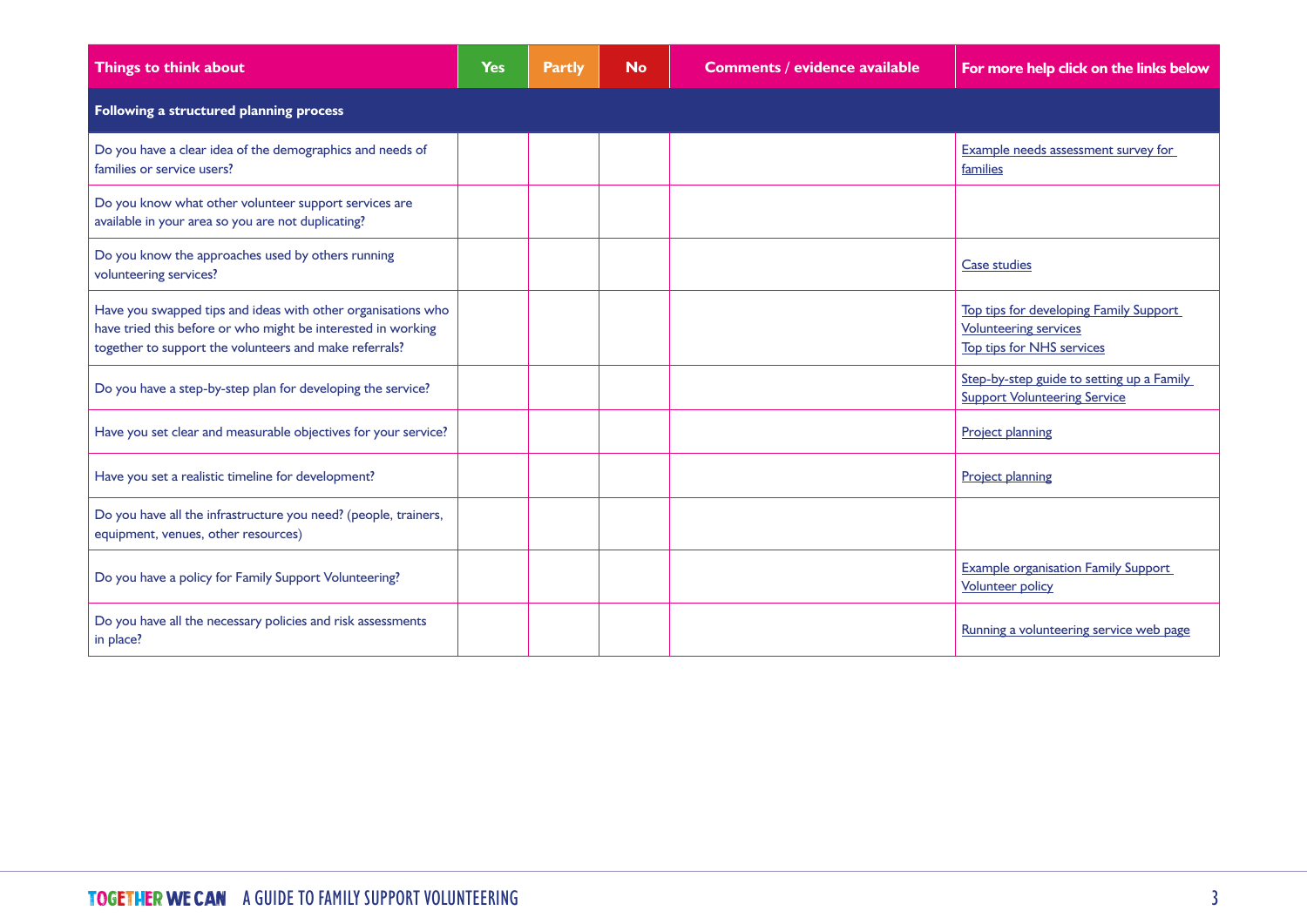| Things to think about                                                                                                                                                                  | <b>Yes</b> | <b>Partly</b> | <b>No</b> | <b>Comments / evidence available</b> | For more help click on the links below                                                                     |  |  |
|----------------------------------------------------------------------------------------------------------------------------------------------------------------------------------------|------------|---------------|-----------|--------------------------------------|------------------------------------------------------------------------------------------------------------|--|--|
| Following a structured planning process                                                                                                                                                |            |               |           |                                      |                                                                                                            |  |  |
| Do you have a clear idea of the demographics and needs of<br>families or service users?                                                                                                |            |               |           |                                      | Example needs assessment survey for<br>families                                                            |  |  |
| Do you know what other volunteer support services are<br>available in your area so you are not duplicating?                                                                            |            |               |           |                                      |                                                                                                            |  |  |
| Do you know the approaches used by others running<br>volunteering services?                                                                                                            |            |               |           |                                      | <b>Case studies</b>                                                                                        |  |  |
| Have you swapped tips and ideas with other organisations who<br>have tried this before or who might be interested in working<br>together to support the volunteers and make referrals? |            |               |           |                                      | Top tips for developing Family Support<br><b>Volunteering services</b><br><b>Top tips for NHS services</b> |  |  |
| Do you have a step-by-step plan for developing the service?                                                                                                                            |            |               |           |                                      | Step-by-step guide to setting up a Family<br><b>Support Volunteering Service</b>                           |  |  |
| Have you set clear and measurable objectives for your service?                                                                                                                         |            |               |           |                                      | <b>Project planning</b>                                                                                    |  |  |
| Have you set a realistic timeline for development?                                                                                                                                     |            |               |           |                                      | <b>Project planning</b>                                                                                    |  |  |
| Do you have all the infrastructure you need? (people, trainers,<br>equipment, venues, other resources)                                                                                 |            |               |           |                                      |                                                                                                            |  |  |
| Do you have a policy for Family Support Volunteering?                                                                                                                                  |            |               |           |                                      | <b>Example organisation Family Support</b><br><b>Volunteer policy</b>                                      |  |  |
| Do you have all the necessary policies and risk assessments<br>in place?                                                                                                               |            |               |           |                                      | Running a volunteering service web page                                                                    |  |  |